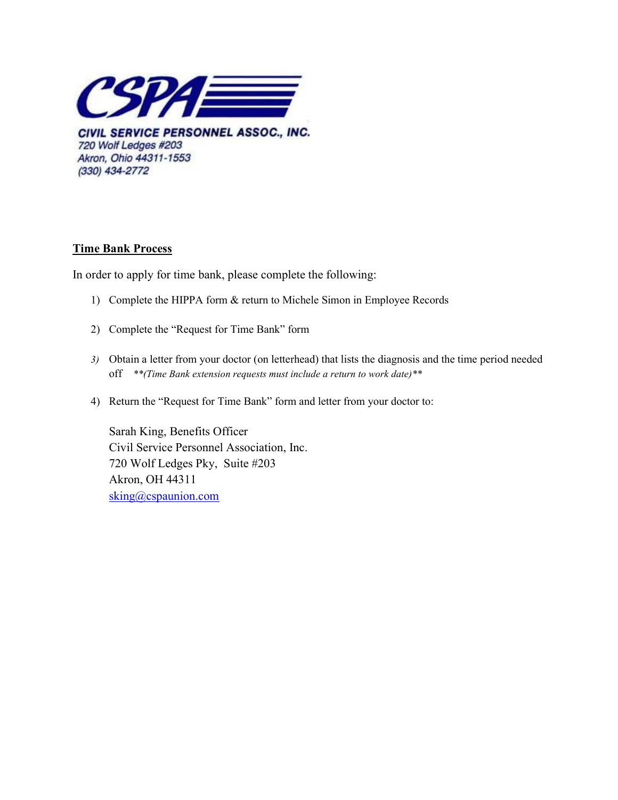

CIVIL SERVICE PERSONNEL ASSOC., INC. 720 Wolf Ledges #203 Akron, Ohio 44311-1553 (330) 434-2772

## Time Bank Process

In order to apply for time bank, please complete the following:

- 1) Complete the HIPPA form & return to Michele Simon in Employee Records
- 2) Complete the "Request for Time Bank" form
- 3) Obtain a letter from your doctor (on letterhead) that lists the diagnosis and the time period needed off \*\*(Time Bank extension requests must include a return to work date)\*\*
- 4) Return the "Request for Time Bank" form and letter from your doctor to:

Sarah King, Benefits Officer Civil Service Personnel Association, Inc. 720 Wolf Ledges Pky, Suite #203 Akron, OH 44311 sking@cspaunion.com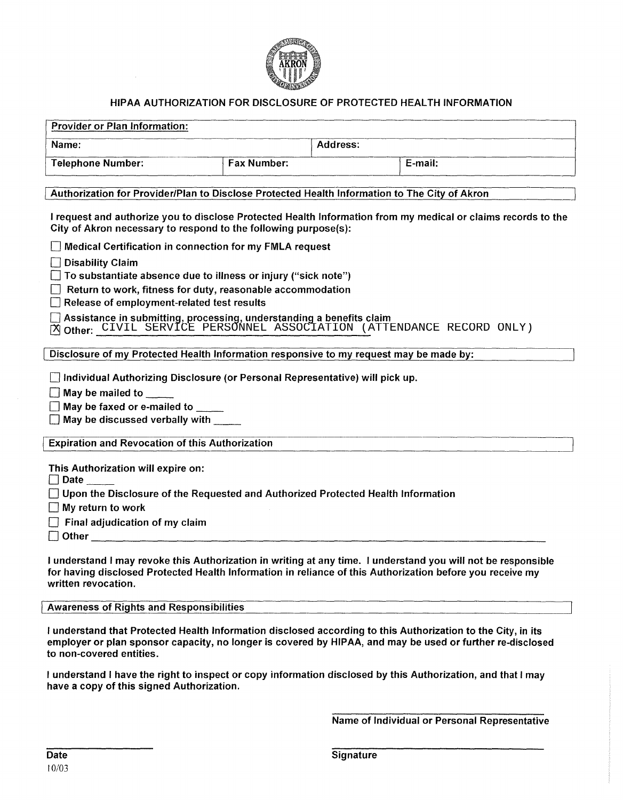

### HIPAA AUTHORIZATION FOR DISCLOSURE OF PROTECTED HEALTH INFORMATION

| <b>Provider or Plan Information:</b> |                    |          |         |  |  |
|--------------------------------------|--------------------|----------|---------|--|--|
| Name:                                |                    | Address: |         |  |  |
| <b>Telephone Number:</b>             | <b>Fax Number:</b> |          | E-mail: |  |  |

#### I Authorization for Provider/Plan to Disclose Protected Health Information to The City of Akron

I request and authorize you to disclose Protected Health Information from my medical or claims records to the City of Akron necessary to respond to the following purpose(s):

 $\Box$  Medical Certification in connection for my FMLA request

 $\Box$  Disability Claim

 $\Box$  To substantiate absence due to illness or injury ("sick note")

 $\Box$  Return to work, fitness for duty, reasonable accommodation

 $\Box$  Release of employment-related test results

 $\Box$  Assistance in submitting, processing, understanding a benefits claim

o Other: \_\_\_\_\_\_\_\_\_\_\_\_\_\_\_\_\_\_\_\_ \_ X CIVIL SERVICE PERSONNEL ASSOCIATION (ATTENDANCE RECORD ONLY)

Disclosure of my Protected Health Information responsive to my request may be made by:

 $\Box$  Individual Authorizing Disclosure (or Personal Representative) will pick up.

 $\Box$  May be mailed to

 $\Box$  May be faxed or e-mailed to

 $\Box$  May be discussed verbally with

**Expiration and Revocation of this Authorization** 

This Authorization will expire on:<br>□ Date \_\_\_\_\_

◯ Date \_\_\_\_\_<br>◯ Upon the Disclosure of the Requested and Authorized Protected Health Information

 $\Box$  My return to work

 $\Box$  Final adjudication of my claim

 $\Box$  Other  $\Box$ 

I understand I may revoke this Authorization in writing at any time. I understand you will not be responsible for having disclosed Protected Health Information in reliance of this Authorization before you receive my written revocation.

#### Awareness of Rights and Responsibilities

I understand that Protected Health Information disclosed according to this Authorization to the City, in its employer or plan sponsor capacity, no longer is covered by HIPAA, and may be used or further re-disclosed to non-covered entities.

I understand I have the right to inspect or copy information disclosed by this Authorization, and that I may have a copy of this signed Authorization.

Name of Individual or Personal Representative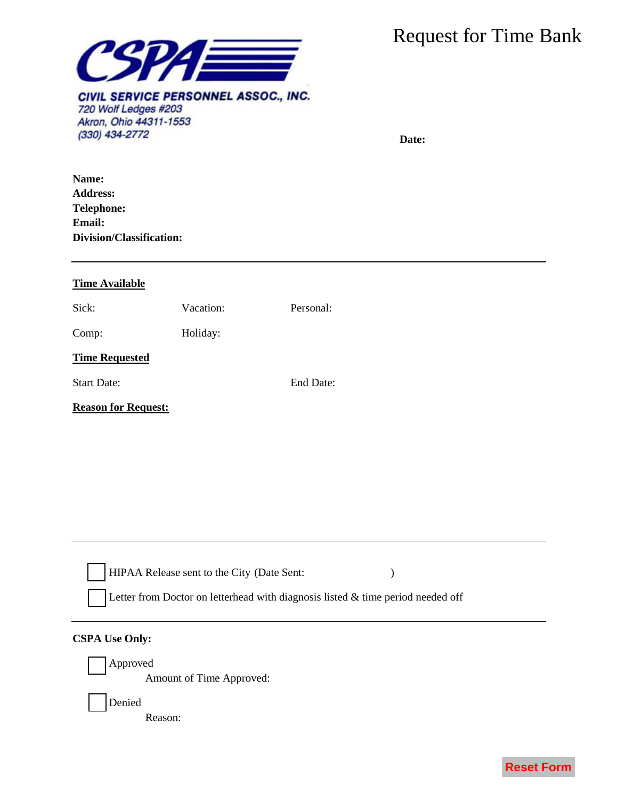

| Name:<br><b>Address:</b><br><b>Telephone:</b><br><b>Email:</b><br>Division/Classification:<br><b>Time Available</b><br>Personal:<br>Sick:<br>Vacation:<br>Holiday:<br>Comp:<br><b>Time Requested</b><br>End Date:<br><b>Start Date:</b><br><b>Reason for Request:</b><br>HIPAA Release sent to the City (Date Sent:<br>Letter from Doctor on letterhead with diagnosis listed $\&$ time period needed off<br><b>CSPA Use Only:</b><br>Approved<br>Amount of Time Approved:<br>Denied<br>Reason: | <b>SPAE</b><br>CIVIL SERVICE PERSONNEL ASSOC., INC.<br>720 Wolf Ledges #203<br>Akron, Ohio 44311-1553<br>(330) 434-2772 | <b>Request for Time Bank</b><br>Date: |                   |
|-------------------------------------------------------------------------------------------------------------------------------------------------------------------------------------------------------------------------------------------------------------------------------------------------------------------------------------------------------------------------------------------------------------------------------------------------------------------------------------------------|-------------------------------------------------------------------------------------------------------------------------|---------------------------------------|-------------------|
|                                                                                                                                                                                                                                                                                                                                                                                                                                                                                                 |                                                                                                                         |                                       |                   |
|                                                                                                                                                                                                                                                                                                                                                                                                                                                                                                 |                                                                                                                         |                                       |                   |
|                                                                                                                                                                                                                                                                                                                                                                                                                                                                                                 |                                                                                                                         |                                       |                   |
|                                                                                                                                                                                                                                                                                                                                                                                                                                                                                                 |                                                                                                                         |                                       |                   |
|                                                                                                                                                                                                                                                                                                                                                                                                                                                                                                 |                                                                                                                         |                                       |                   |
|                                                                                                                                                                                                                                                                                                                                                                                                                                                                                                 |                                                                                                                         |                                       |                   |
|                                                                                                                                                                                                                                                                                                                                                                                                                                                                                                 |                                                                                                                         |                                       |                   |
|                                                                                                                                                                                                                                                                                                                                                                                                                                                                                                 |                                                                                                                         |                                       |                   |
|                                                                                                                                                                                                                                                                                                                                                                                                                                                                                                 |                                                                                                                         |                                       | <b>Reset Form</b> |

## **CSPA Use Only:**